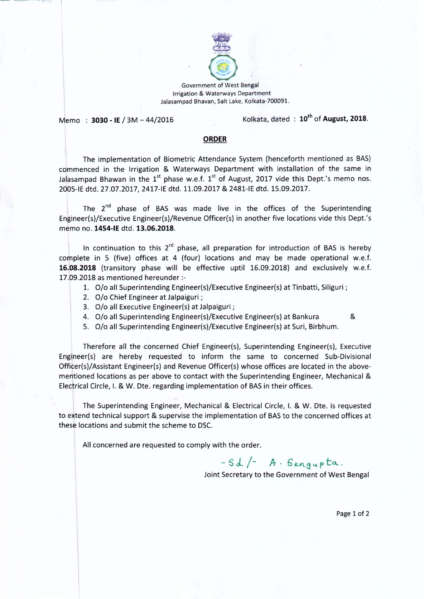

Government of West Bengal Irrigation & Waterways Department Jalasampad Bhavan, Salt Lake, Kolkata-700091.

Memo : **3030 - IE** / 3M - 44/2016 Kolkata, dated : 10<sup>th</sup> of August, 2018.

## **ORDER**

The implementation of Biometric Attendance System (henceforth mentioned as BAS) commenced in the Irrigation & Waterways Department with installation of the same in Jalasampad Bhawan in the  $1^{st}$  phase w.e.f.  $1^{st}$  of August, 2017 vide this Dept.'s memo nos. 2d05-IEdtd. 27.07.2017, 2417-IE dtd. 11.09.2017 & 2481-IE dtd. 15.09.2017.

Engineer(s)/Executive Engineer(s)/Revenue Officer(s) in another five locations vide this Dept.'s The  $2^{nd}$  phase of BAS was made live in the offices of the Superintending memo no. 1454-IE dtd. 13.06.2018.

In continuation to this  $2^{rd}$  phase, all preparation for introduction of BAS is hereby complete in 5 (five) offices at 4 (four) locations and may be made operational w.e.f. **16.08.2018** (transitory phase will be effective uptil 16.09.2018) and exclusively w.e.f. 17.09.2018 as mentioned hereunder :-

- 1. O/o all Superintending Engineer(s)/Executive Engineer(s) at Tinbatti, Siliguri ;
- 2. O/o Chief Engineer at Jalpaiguri;
- 3. O/o all Executive Engineer(s) at Jalpaiguri ;
- 4. % all Superintending Engineer(s)/Executive Engineer(s) at Bankura &
- 5. O/o all Superintending Engineer(s)/Executive Engineer(s) at Suri, Birbhum.

Therefore all the -concerned Chief Engineer(s), Superintending Engineer(s), Executive Engineer(s) are hereby requested to inform the same to concerned Sub-Divisional Officer(s)/Assistant Engineer(s) and Revenue Officer(s) whose offices are located in the abovementioned locations as per above to contact with the Superintending Engineer, Mechanical & Electrical Circle, I. & W. Dte. regarding implementation of BAS in their offices.

The Superintending Engineer, Mechanical & Electrical Circle, I. & W. Dte. is requested to extend technical support & supervise the implementation of BAS to the concerned offices at these locations and submit the scheme to DSC.

All concerned are requested to comply with the order.

 $-5$ d./ $-$  A. Sengupta.

Joint Secretary to the Government of West Bengal

Page 1 of 2